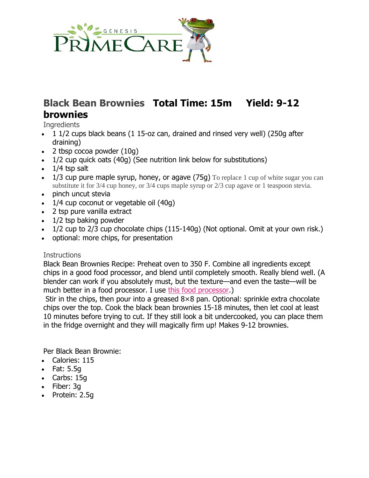

# **Black Bean Brownies Total Time: 15m Yield: 9-12 brownies**

**Ingredients** 

- 1 1/2 cups black beans (1 15-oz can, drained and rinsed very well) (250g after draining)
- 2 tbsp cocoa powder (10g)
- 1/2 cup quick oats (40g) (See nutrition link below for substitutions)
- $\bullet$  1/4 tsp salt
- 1/3 cup pure maple syrup, honey, or agave  $(75g)$  To replace 1 cup of white sugar you can substitute it for 3/4 cup honey, or 3/4 cups maple syrup or 2/3 cup agave or 1 teaspoon stevia.
- pinch uncut stevia
- $\cdot$  1/4 cup coconut or vegetable oil (40g)
- 2 tsp pure vanilla extract
- $\bullet$  1/2 tsp baking powder
- $\bullet$  1/2 cup to 2/3 cup chocolate chips  $(115-140g)$  (Not optional. Omit at your own risk.)
- optional: more chips, for presentation

#### **Instructions**

Black Bean Brownies Recipe: Preheat oven to 350 F. Combine all ingredients except chips in a good food processor, and blend until completely smooth. Really blend well. (A blender can work if you absolutely must, but the texture—and even the taste—will be much better in a food processor. I use [this food processor.](https://amzn.to/2MowvG8))

Stir in the chips, then pour into a greased 8×8 pan. Optional: sprinkle extra chocolate chips over the top. Cook the black bean brownies 15-18 minutes, then let cool at least 10 minutes before trying to cut. If they still look a bit undercooked, you can place them in the fridge overnight and they will magically firm up! Makes 9-12 brownies.

Per Black Bean Brownie:

- Calories: 115
- Fat: 5.5g
- Carbs: 15g
- Fiber: 3g
- Protein: 2.5g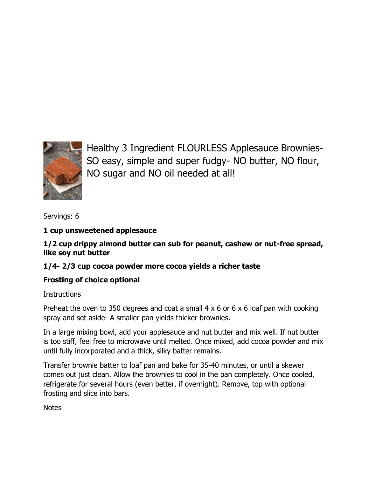

Healthy 3 Ingredient FLOURLESS Applesauce Brownies-SO easy, simple and super fudgy- NO butter, NO flour, NO sugar and NO oil needed at all!

Servings: [6](https://thebigmansworld.com/healthy-3-ingredient-flourless-applesauce-brownies/)

### **1 cup [unsweetened applesauce](https://www.amazon.com/gp/product/B00FYR4OLU/ref=as_li_qf_sp_asin_il_tl?ie=UTF8&tag=thbimaswo02-20&camp=1789&creative=9325&linkCode=as2&creativeASIN=B00FYR4OLU&linkId=5dbfed618e7a0126221ae2fd0662be31)**

**1/2 cup drippy almond butter can sub for peanut, cashew or nut-free spread, like soy nut butter**

# **1/4- 2/3 cup [cocoa powder](https://www.amazon.com/gp/product/B00AZX0IE0/ref=as_li_qf_sp_asin_il_tl?ie=UTF8&tag=thbimaswo02-20&camp=1789&creative=9325&linkCode=as2&creativeASIN=B00AZX0IE0&linkId=bf34979fb5f2ed45ade3d0624b0545f6) more cocoa yields a richer taste**

# **[Frosting of choice](https://thebigmansworld.com/2016/03/23/healthy-flourless-fudge-brownies/) optional**

**Instructions** 

Preheat the oven to 350 degrees and coat a small  $4 \times 6$  or  $6 \times 6$  loaf pan with cooking spray and set aside- A smaller pan yields thicker brownies.

In a large mixing bowl, add your applesauce and nut butter and mix well. If nut butter is too stiff, feel free to microwave until melted. Once mixed, add cocoa powder and mix until fully incorporated and a thick, silky batter remains.

Transfer brownie batter to loaf pan and bake for 35-40 minutes, or until a skewer comes out just clean. Allow the brownies to cool in the pan completely. Once cooled, refrigerate for several hours (even better, if overnight). Remove, top with optional frosting and slice into bars.

**Notes**